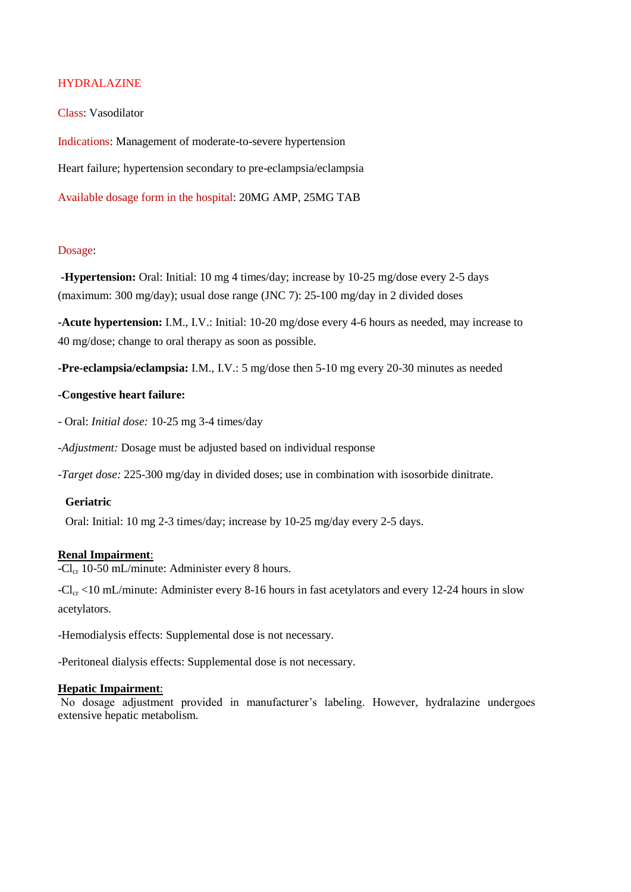# HYDRALAZINE

Class: Vasodilator

Indications: Management of moderate-to-severe hypertension

Heart failure; hypertension secondary to pre-eclampsia/eclampsia

Available dosage form in the hospital: 20MG AMP, 25MG TAB

## Dosage:

**-Hypertension:** Oral: Initial: 10 mg 4 times/day; increase by 10-25 mg/dose every 2-5 days (maximum: 300 mg/day); usual dose range (JNC 7): 25-100 mg/day in 2 divided doses

**-Acute hypertension:** I.M., I.V.: Initial: 10-20 mg/dose every 4-6 hours as needed, may increase to 40 mg/dose; change to oral therapy as soon as possible.

**-Pre-eclampsia/eclampsia:** I.M., I.V.: 5 mg/dose then 5-10 mg every 20-30 minutes as needed

## **-Congestive heart failure:**

- Oral: *Initial dose:* 10-25 mg 3-4 times/day

*-Adjustment:* Dosage must be adjusted based on individual response

*-Target dose:* 225-300 mg/day in divided doses; use in combination with isosorbide dinitrate.

## **Geriatric**

Oral: Initial: 10 mg 2-3 times/day; increase by 10-25 mg/day every 2-5 days.

## **Renal Impairment**:

 $-Cl_{cr}$  10-50 mL/minute: Administer every 8 hours.

 $-Cl_{cr}$  <10 mL/minute: Administer every 8-16 hours in fast acetylators and every 12-24 hours in slow acetylators.

-Hemodialysis effects: Supplemental dose is not necessary.

-Peritoneal dialysis effects: Supplemental dose is not necessary.

## **Hepatic Impairment**:

No dosage adjustment provided in manufacturer's labeling. However, hydralazine undergoes extensive hepatic metabolism.